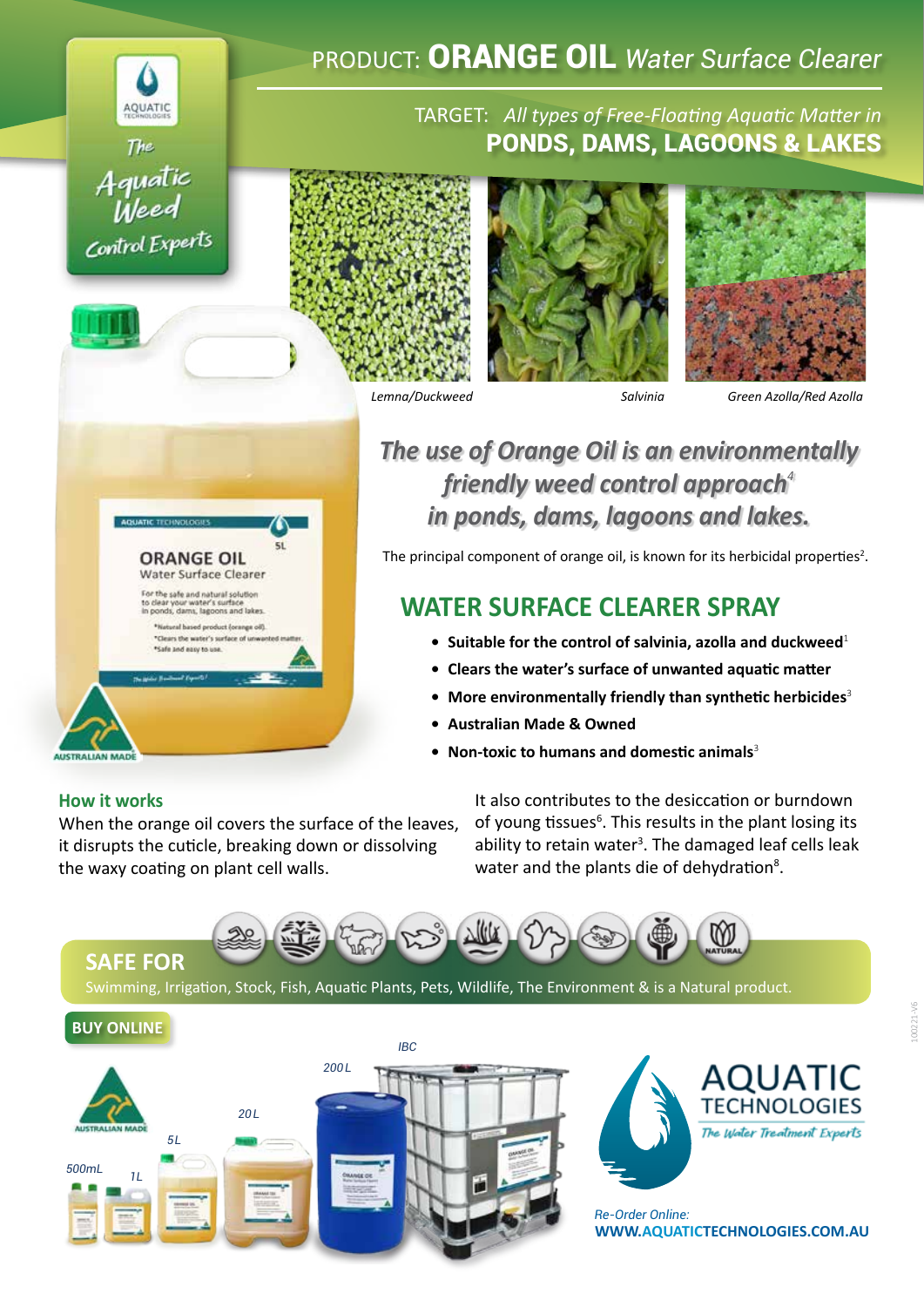

# PRODUCT: ORANGE OIL *Water Surface Clearer*

### TARGET: *All types of Free-Floating Aquatic Matter in* PONDS, DAMS, LAGOONS & LAKES







*Lemna/Duckweed Salvinia Green Azolla/Red Azolla*

## *The use of Orange Oil is an environmentally friendly weed control approach<sup>4</sup> in ponds, dams, lagoons and lakes.*

The principal component of orange oil, is known for its herbicidal properties<sup>2</sup>.

### WATER SURFACE CLEARER SPRAY

- **• Suitable for the control of salvinia, azolla and duckweed**<sup>1</sup>
- **• Clears the water's surface of unwanted aquatic matter**
- **• More environmentally friendly than synthetic herbicides**<sup>3</sup>
- **• Australian Made & Owned**
- **• Non-toxic to humans and domestic animals**<sup>3</sup>

### **[How it works](https://aquatictechnologies.com.au/free-floating-weed-control)**

When the orange oil covers the surface of the leaves, it disrupts the cuticle, breaking down or dissolving the waxy coating on plant cell walls.

**ORANGE OIL** Water Surface Clearer For the safe and natural solution<br>to clear your water's surface<br>in ponds, dams, lagoons and lakes. tural based product (orange oil) Clears the water's surface of unwa

> It also contributes to the desiccation or burndown of young tissues<sup>6</sup>. This results in the plant losing its ability to retain water<sup>3</sup>. The damaged leaf cells leak water and the plants die of dehydration<sup>8</sup>.



Swimming, Irrigation, Stock, Fish, Aquatic Plants, Pets, Wildlife, The Environment & is a Natural product.





**[WWW.AQUATICTECHNOLOGIES.COM.AU](https://aquatictechnologies.com.au)** *Re-Order Online:*